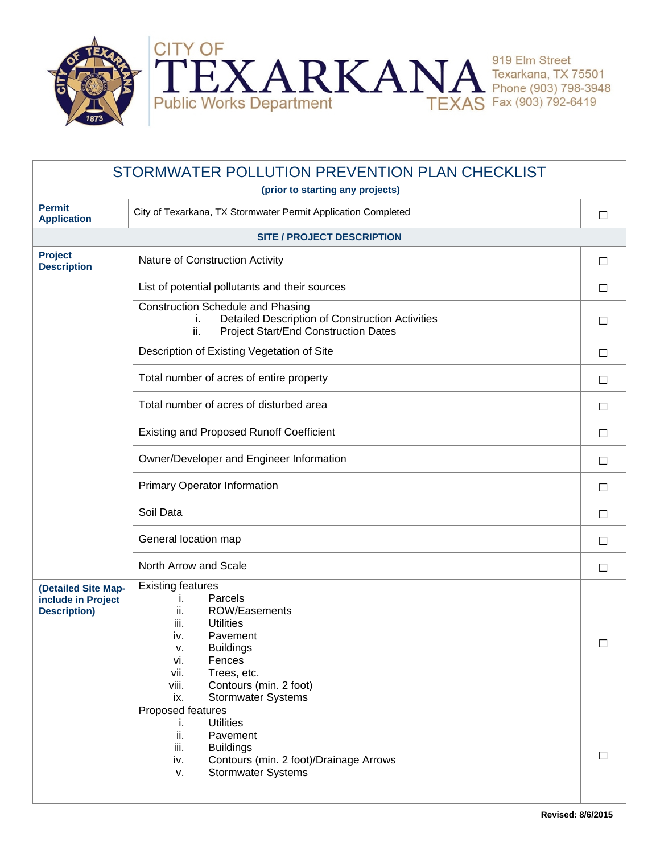

| STORMWATER POLLUTION PREVENTION PLAN CHECKLIST                   |                                                                                                                                                                                                                                                           |        |  |
|------------------------------------------------------------------|-----------------------------------------------------------------------------------------------------------------------------------------------------------------------------------------------------------------------------------------------------------|--------|--|
| (prior to starting any projects)                                 |                                                                                                                                                                                                                                                           |        |  |
| <b>Permit</b><br><b>Application</b>                              | City of Texarkana, TX Stormwater Permit Application Completed                                                                                                                                                                                             | $\Box$ |  |
| <b>SITE / PROJECT DESCRIPTION</b>                                |                                                                                                                                                                                                                                                           |        |  |
| <b>Project</b><br><b>Description</b>                             | Nature of Construction Activity                                                                                                                                                                                                                           | $\Box$ |  |
|                                                                  | List of potential pollutants and their sources                                                                                                                                                                                                            | $\Box$ |  |
|                                                                  | <b>Construction Schedule and Phasing</b><br>Detailed Description of Construction Activities<br>İ.<br><b>Project Start/End Construction Dates</b><br>ii.                                                                                                   | $\Box$ |  |
|                                                                  | Description of Existing Vegetation of Site                                                                                                                                                                                                                | $\Box$ |  |
|                                                                  | Total number of acres of entire property                                                                                                                                                                                                                  | $\Box$ |  |
|                                                                  | Total number of acres of disturbed area                                                                                                                                                                                                                   | $\Box$ |  |
|                                                                  | <b>Existing and Proposed Runoff Coefficient</b>                                                                                                                                                                                                           | $\Box$ |  |
|                                                                  | Owner/Developer and Engineer Information                                                                                                                                                                                                                  | $\Box$ |  |
|                                                                  | <b>Primary Operator Information</b>                                                                                                                                                                                                                       | $\Box$ |  |
|                                                                  | Soil Data                                                                                                                                                                                                                                                 | $\Box$ |  |
|                                                                  | General location map                                                                                                                                                                                                                                      | $\Box$ |  |
|                                                                  | North Arrow and Scale                                                                                                                                                                                                                                     | $\Box$ |  |
| (Detailed Site Map-<br>include in Project<br><b>Description)</b> | <b>Existing features</b><br>Parcels<br>j.<br>ii.<br>ROW/Easements<br>iii.<br><b>Utilities</b><br>iv.<br>Pavement<br><b>Buildings</b><br>۷.<br>vi.<br>Fences<br>vii.<br>Trees, etc.<br>Contours (min. 2 foot)<br>viii.<br>ix.<br><b>Stormwater Systems</b> | $\Box$ |  |
|                                                                  | Proposed features<br><b>Utilities</b><br>i.<br>ii.<br>Pavement<br>iii.<br><b>Buildings</b><br>Contours (min. 2 foot)/Drainage Arrows<br>iv.<br><b>Stormwater Systems</b><br>v.                                                                            | П      |  |